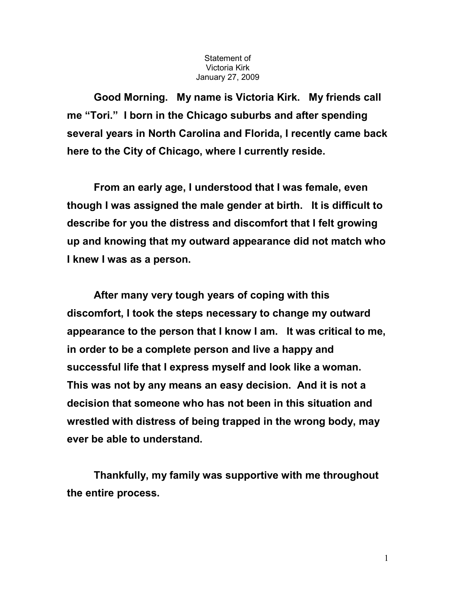## Statement of Victoria Kirk January 27, 2009

Good Morning. My name is Victoria Kirk. My friends call me "Tori." I born in the Chicago suburbs and after spending several years in North Carolina and Florida, I recently came back here to the City of Chicago, where I currently reside.

 From an early age, I understood that I was female, even though I was assigned the male gender at birth. It is difficult to describe for you the distress and discomfort that I felt growing up and knowing that my outward appearance did not match who I knew I was as a person.

 After many very tough years of coping with this discomfort, I took the steps necessary to change my outward appearance to the person that I know I am. It was critical to me, in order to be a complete person and live a happy and successful life that I express myself and look like a woman. This was not by any means an easy decision. And it is not a decision that someone who has not been in this situation and wrestled with distress of being trapped in the wrong body, may ever be able to understand.

 Thankfully, my family was supportive with me throughout the entire process.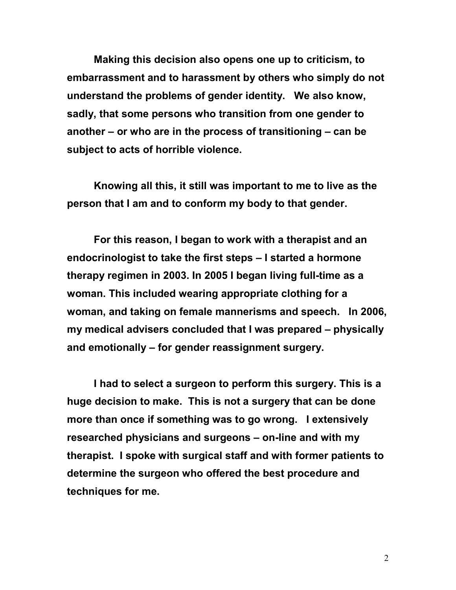Making this decision also opens one up to criticism, to embarrassment and to harassment by others who simply do not understand the problems of gender identity. We also know, sadly, that some persons who transition from one gender to another – or who are in the process of transitioning – can be subject to acts of horrible violence.

 Knowing all this, it still was important to me to live as the person that I am and to conform my body to that gender.

 For this reason, I began to work with a therapist and an endocrinologist to take the first steps – I started a hormone therapy regimen in 2003. In 2005 I began living full-time as a woman. This included wearing appropriate clothing for a woman, and taking on female mannerisms and speech. In 2006, my medical advisers concluded that I was prepared – physically and emotionally – for gender reassignment surgery.

 I had to select a surgeon to perform this surgery. This is a huge decision to make. This is not a surgery that can be done more than once if something was to go wrong. I extensively researched physicians and surgeons – on-line and with my therapist. I spoke with surgical staff and with former patients to determine the surgeon who offered the best procedure and techniques for me.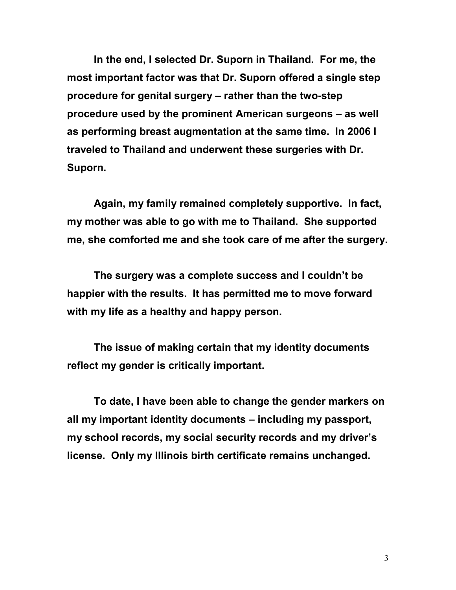In the end, I selected Dr. Suporn in Thailand. For me, the most important factor was that Dr. Suporn offered a single step procedure for genital surgery – rather than the two-step procedure used by the prominent American surgeons – as well as performing breast augmentation at the same time. In 2006 I traveled to Thailand and underwent these surgeries with Dr. Suporn.

 Again, my family remained completely supportive. In fact, my mother was able to go with me to Thailand. She supported me, she comforted me and she took care of me after the surgery.

 The surgery was a complete success and I couldn't be happier with the results. It has permitted me to move forward with my life as a healthy and happy person.

 The issue of making certain that my identity documents reflect my gender is critically important.

 To date, I have been able to change the gender markers on all my important identity documents – including my passport, my school records, my social security records and my driver's license. Only my Illinois birth certificate remains unchanged.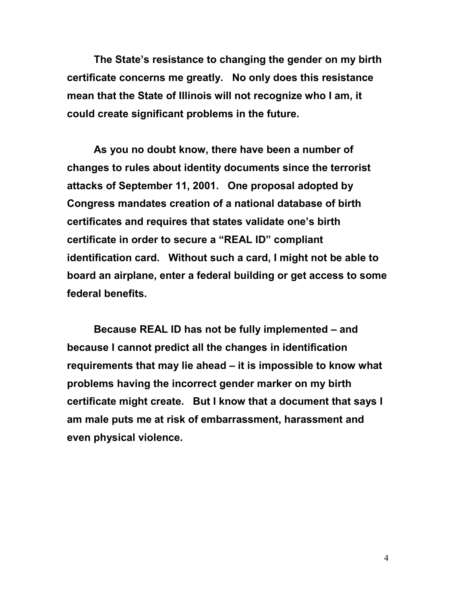The State's resistance to changing the gender on my birth certificate concerns me greatly. No only does this resistance mean that the State of Illinois will not recognize who I am, it could create significant problems in the future.

 As you no doubt know, there have been a number of changes to rules about identity documents since the terrorist attacks of September 11, 2001. One proposal adopted by Congress mandates creation of a national database of birth certificates and requires that states validate one's birth certificate in order to secure a "REAL ID" compliant identification card. Without such a card, I might not be able to board an airplane, enter a federal building or get access to some federal benefits.

 Because REAL ID has not be fully implemented – and because I cannot predict all the changes in identification requirements that may lie ahead – it is impossible to know what problems having the incorrect gender marker on my birth certificate might create. But I know that a document that says I am male puts me at risk of embarrassment, harassment and even physical violence.